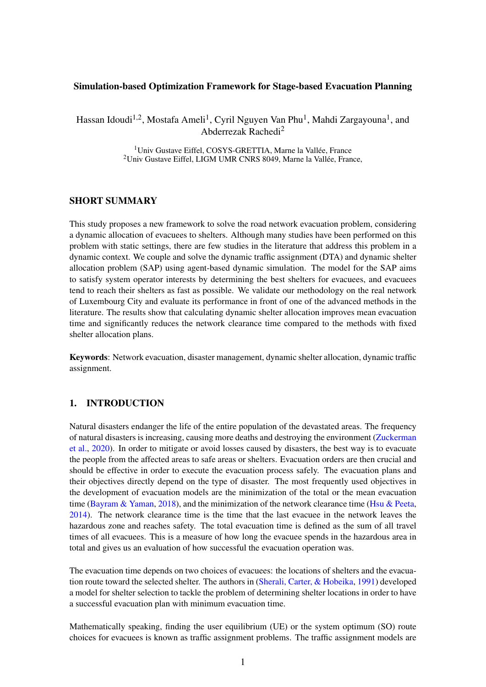### Simulation-based Optimization Framework for Stage-based Evacuation Planning

Hassan Idoudi<sup>1,2</sup>, Mostafa Ameli<sup>1</sup>, Cyril Nguyen Van Phu<sup>1</sup>, Mahdi Zargayouna<sup>1</sup>, and Abderrezak Rachedi<sup>2</sup>

> <sup>1</sup> Univ Gustave Eiffel, COSYS-GRETTIA, Marne la Vallée, France <sup>2</sup>Univ Gustave Eiffel, LIGM UMR CNRS 8049, Marne la Vallée, France,

## SHORT SUMMARY

This study proposes a new framework to solve the road network evacuation problem, considering a dynamic allocation of evacuees to shelters. Although many studies have been performed on this problem with static settings, there are few studies in the literature that address this problem in a dynamic context. We couple and solve the dynamic traffic assignment (DTA) and dynamic shelter allocation problem (SAP) using agent-based dynamic simulation. The model for the SAP aims to satisfy system operator interests by determining the best shelters for evacuees, and evacuees tend to reach their shelters as fast as possible. We validate our methodology on the real network of Luxembourg City and evaluate its performance in front of one of the advanced methods in the literature. The results show that calculating dynamic shelter allocation improves mean evacuation time and significantly reduces the network clearance time compared to the methods with fixed shelter allocation plans.

Keywords: Network evacuation, disaster management, dynamic shelter allocation, dynamic traffic assignment.

### 1. INTRODUCTION

Natural disasters endanger the life of the entire population of the devastated areas. The frequency of natural disasters is increasing, causing more deaths and destroying the environment [\(Zuckerman](#page-6-0) [et al.,](#page-6-0) [2020\)](#page-6-0). In order to mitigate or avoid losses caused by disasters, the best way is to evacuate the people from the affected areas to safe areas or shelters. Evacuation orders are then crucial and should be effective in order to execute the evacuation process safely. The evacuation plans and their objectives directly depend on the type of disaster. The most frequently used objectives in the development of evacuation models are the minimization of the total or the mean evacuation time [\(Bayram & Yaman,](#page-6-1) [2018\)](#page-6-1), and the minimization of the network clearance time [\(Hsu & Peeta,](#page-6-2) [2014\)](#page-6-2). The network clearance time is the time that the last evacuee in the network leaves the hazardous zone and reaches safety. The total evacuation time is defined as the sum of all travel times of all evacuees. This is a measure of how long the evacuee spends in the hazardous area in total and gives us an evaluation of how successful the evacuation operation was.

The evacuation time depends on two choices of evacuees: the locations of shelters and the evacuation route toward the selected shelter. The authors in [\(Sherali, Carter, & Hobeika,](#page-6-3) [1991\)](#page-6-3) developed a model for shelter selection to tackle the problem of determining shelter locations in order to have a successful evacuation plan with minimum evacuation time.

Mathematically speaking, finding the user equilibrium (UE) or the system optimum (SO) route choices for evacuees is known as traffic assignment problems. The traffic assignment models are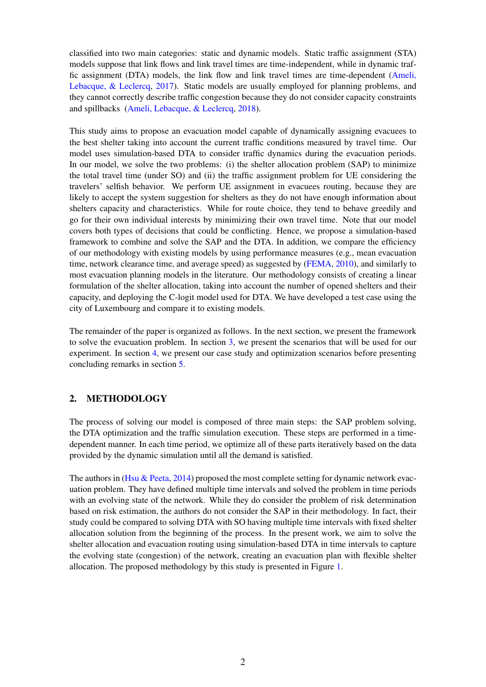classified into two main categories: static and dynamic models. Static traffic assignment (STA) models suppose that link flows and link travel times are time-independent, while in dynamic traffic assignment (DTA) models, the link flow and link travel times are time-dependent [\(Ameli,](#page-6-4) [Lebacque, & Leclercq,](#page-6-4) [2017\)](#page-6-4). Static models are usually employed for planning problems, and they cannot correctly describe traffic congestion because they do not consider capacity constraints and spillbacks [\(Ameli, Lebacque, & Leclercq,](#page-6-5) [2018\)](#page-6-5).

This study aims to propose an evacuation model capable of dynamically assigning evacuees to the best shelter taking into account the current traffic conditions measured by travel time. Our model uses simulation-based DTA to consider traffic dynamics during the evacuation periods. In our model, we solve the two problems: (i) the shelter allocation problem (SAP) to minimize the total travel time (under SO) and (ii) the traffic assignment problem for UE considering the travelers' selfish behavior. We perform UE assignment in evacuees routing, because they are likely to accept the system suggestion for shelters as they do not have enough information about shelters capacity and characteristics. While for route choice, they tend to behave greedily and go for their own individual interests by minimizing their own travel time. Note that our model covers both types of decisions that could be conflicting. Hence, we propose a simulation-based framework to combine and solve the SAP and the DTA. In addition, we compare the efficiency of our methodology with existing models by using performance measures (e.g., mean evacuation time, network clearance time, and average speed) as suggested by [\(FEMA,](#page-6-6) [2010\)](#page-6-6), and similarly to most evacuation planning models in the literature. Our methodology consists of creating a linear formulation of the shelter allocation, taking into account the number of opened shelters and their capacity, and deploying the C-logit model used for DTA. We have developed a test case using the city of Luxembourg and compare it to existing models.

The remainder of the paper is organized as follows. In the next section, we present the framework to solve the evacuation problem. In section [3,](#page-3-0) we present the scenarios that will be used for our experiment. In section [4,](#page-4-0) we present our case study and optimization scenarios before presenting concluding remarks in section [5.](#page-5-0)

## 2. METHODOLOGY

The process of solving our model is composed of three main steps: the SAP problem solving, the DTA optimization and the traffic simulation execution. These steps are performed in a timedependent manner. In each time period, we optimize all of these parts iteratively based on the data provided by the dynamic simulation until all the demand is satisfied.

The authors in [\(Hsu & Peeta,](#page-6-2) [2014\)](#page-6-2) proposed the most complete setting for dynamic network evacuation problem. They have defined multiple time intervals and solved the problem in time periods with an evolving state of the network. While they do consider the problem of risk determination based on risk estimation, the authors do not consider the SAP in their methodology. In fact, their study could be compared to solving DTA with SO having multiple time intervals with fixed shelter allocation solution from the beginning of the process. In the present work, we aim to solve the shelter allocation and evacuation routing using simulation-based DTA in time intervals to capture the evolving state (congestion) of the network, creating an evacuation plan with flexible shelter allocation. The proposed methodology by this study is presented in Figure [1.](#page-2-0)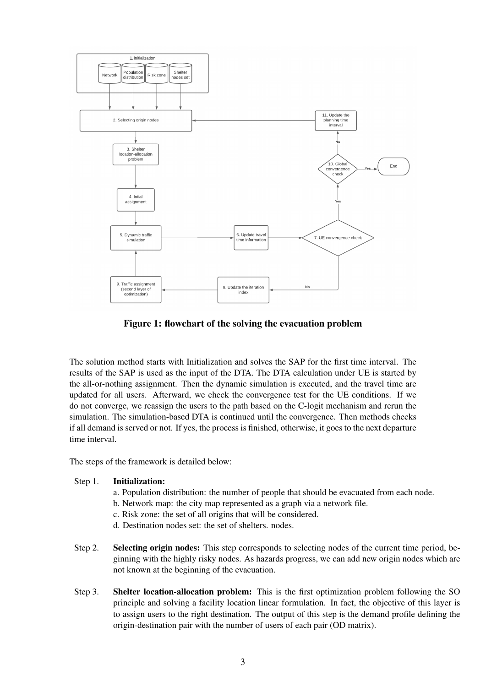<span id="page-2-0"></span>

Figure 1: flowchart of the solving the evacuation problem

The solution method starts with Initialization and solves the SAP for the first time interval. The results of the SAP is used as the input of the DTA. The DTA calculation under UE is started by the all-or-nothing assignment. Then the dynamic simulation is executed, and the travel time are updated for all users. Afterward, we check the convergence test for the UE conditions. If we do not converge, we reassign the users to the path based on the C-logit mechanism and rerun the simulation. The simulation-based DTA is continued until the convergence. Then methods checks if all demand is served or not. If yes, the process is finished, otherwise, it goes to the next departure time interval.

The steps of the framework is detailed below:

### Step 1. Initialization:

- a. Population distribution: the number of people that should be evacuated from each node.
- b. Network map: the city map represented as a graph via a network file.
- c. Risk zone: the set of all origins that will be considered.
- d. Destination nodes set: the set of shelters. nodes.
- Step 2. Selecting origin nodes: This step corresponds to selecting nodes of the current time period, beginning with the highly risky nodes. As hazards progress, we can add new origin nodes which are not known at the beginning of the evacuation.
- Step 3. Shelter location-allocation problem: This is the first optimization problem following the SO principle and solving a facility location linear formulation. In fact, the objective of this layer is to assign users to the right destination. The output of this step is the demand profile defining the origin-destination pair with the number of users of each pair (OD matrix).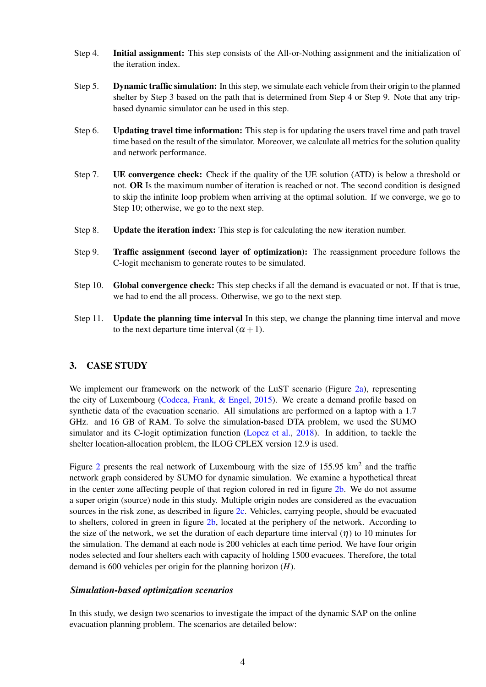- Step 4. Initial assignment: This step consists of the All-or-Nothing assignment and the initialization of the iteration index.
- Step 5. Dynamic traffic simulation: In this step, we simulate each vehicle from their origin to the planned shelter by Step 3 based on the path that is determined from Step 4 or Step 9. Note that any tripbased dynamic simulator can be used in this step.
- Step 6. Updating travel time information: This step is for updating the users travel time and path travel time based on the result of the simulator. Moreover, we calculate all metrics for the solution quality and network performance.
- Step 7. UE convergence check: Check if the quality of the UE solution (ATD) is below a threshold or not. OR Is the maximum number of iteration is reached or not. The second condition is designed to skip the infinite loop problem when arriving at the optimal solution. If we converge, we go to Step 10; otherwise, we go to the next step.
- Step 8. Update the iteration index: This step is for calculating the new iteration number.
- Step 9. Traffic assignment (second layer of optimization): The reassignment procedure follows the C-logit mechanism to generate routes to be simulated.
- Step 10. Global convergence check: This step checks if all the demand is evacuated or not. If that is true, we had to end the all process. Otherwise, we go to the next step.
- Step 11. Update the planning time interval In this step, we change the planning time interval and move to the next departure time interval  $(\alpha + 1)$ .

## <span id="page-3-0"></span>3. CASE STUDY

We implement our framework on the network of the LuST scenario (Figure [2a\)](#page-4-1), representing the city of Luxembourg [\(Codeca, Frank, & Engel,](#page-6-7) [2015\)](#page-6-7). We create a demand profile based on synthetic data of the evacuation scenario. All simulations are performed on a laptop with a 1.7 GHz. and 16 GB of RAM. To solve the simulation-based DTA problem, we used the SUMO simulator and its C-logit optimization function [\(Lopez et al.,](#page-6-8) [2018\)](#page-6-8). In addition, to tackle the shelter location-allocation problem, the ILOG CPLEX version 12.9 is used.

Figure [2](#page-4-1) presents the real network of Luxembourg with the size of  $155.95 \text{ km}^2$  and the traffic network graph considered by SUMO for dynamic simulation. We examine a hypothetical threat in the center zone affecting people of that region colored in red in figure [2b.](#page-4-1) We do not assume a super origin (source) node in this study. Multiple origin nodes are considered as the evacuation sources in the risk zone, as described in figure [2c.](#page-4-1) Vehicles, carrying people, should be evacuated to shelters, colored in green in figure [2b,](#page-4-1) located at the periphery of the network. According to the size of the network, we set the duration of each departure time interval  $(\eta)$  to 10 minutes for the simulation. The demand at each node is 200 vehicles at each time period. We have four origin nodes selected and four shelters each with capacity of holding 1500 evacuees. Therefore, the total demand is 600 vehicles per origin for the planning horizon (*H*).

#### *Simulation-based optimization scenarios*

In this study, we design two scenarios to investigate the impact of the dynamic SAP on the online evacuation planning problem. The scenarios are detailed below: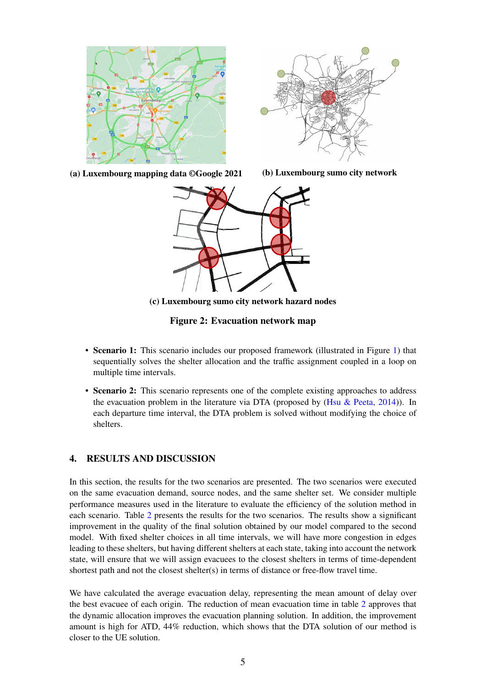<span id="page-4-1"></span>



(a) Luxembourg mapping data ©Google 2021 (b) Luxembourg sumo city network



(c) Luxembourg sumo city network hazard nodes

Figure 2: Evacuation network map

- Scenario 1: This scenario includes our proposed framework (illustrated in Figure [1\)](#page-2-0) that sequentially solves the shelter allocation and the traffic assignment coupled in a loop on multiple time intervals.
- Scenario 2: This scenario represents one of the complete existing approaches to address the evacuation problem in the literature via DTA (proposed by  $(Hsu & Peeta, 2014)$  $(Hsu & Peeta, 2014)$  $(Hsu & Peeta, 2014)$ ). In each departure time interval, the DTA problem is solved without modifying the choice of shelters.

### <span id="page-4-0"></span>4. RESULTS AND DISCUSSION

In this section, the results for the two scenarios are presented. The two scenarios were executed on the same evacuation demand, source nodes, and the same shelter set. We consider multiple performance measures used in the literature to evaluate the efficiency of the solution method in each scenario. Table [2](#page-5-1) presents the results for the two scenarios. The results show a significant improvement in the quality of the final solution obtained by our model compared to the second model. With fixed shelter choices in all time intervals, we will have more congestion in edges leading to these shelters, but having different shelters at each state, taking into account the network state, will ensure that we will assign evacuees to the closest shelters in terms of time-dependent shortest path and not the closest shelter(s) in terms of distance or free-flow travel time.

We have calculated the average evacuation delay, representing the mean amount of delay over the best evacuee of each origin. The reduction of mean evacuation time in table [2](#page-5-1) approves that the dynamic allocation improves the evacuation planning solution. In addition, the improvement amount is high for ATD, 44% reduction, which shows that the DTA solution of our method is closer to the UE solution.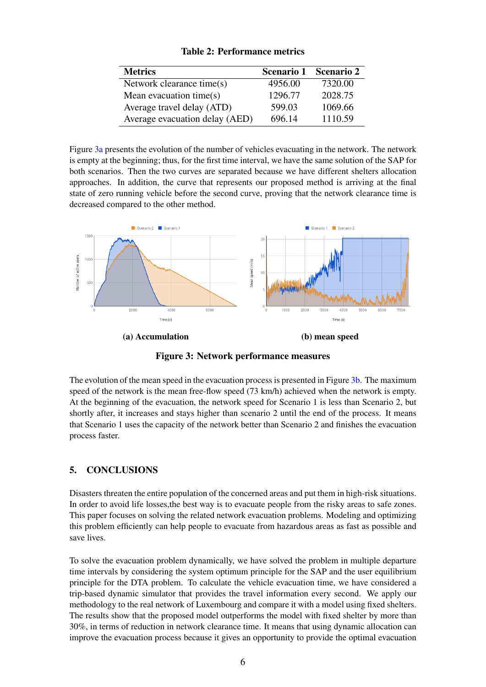<span id="page-5-1"></span>

| <b>Metrics</b>                 |         | Scenario 1 Scenario 2 |
|--------------------------------|---------|-----------------------|
| Network clearance time(s)      | 4956.00 | 7320.00               |
| Mean evacuation time $(s)$     | 1296.77 | 2028.75               |
| Average travel delay (ATD)     | 599.03  | 1069.66               |
| Average evacuation delay (AED) | 696.14  | 1110.59               |

## Table 2: Performance metrics

Figure [3a](#page-5-2) presents the evolution of the number of vehicles evacuating in the network. The network is empty at the beginning; thus, for the first time interval, we have the same solution of the SAP for both scenarios. Then the two curves are separated because we have different shelters allocation approaches. In addition, the curve that represents our proposed method is arriving at the final state of zero running vehicle before the second curve, proving that the network clearance time is decreased compared to the other method.

<span id="page-5-2"></span>

Figure 3: Network performance measures

The evolution of the mean speed in the evacuation process is presented in Figure [3b.](#page-5-2) The maximum speed of the network is the mean free-flow speed (73 km/h) achieved when the network is empty. At the beginning of the evacuation, the network speed for Scenario 1 is less than Scenario 2, but shortly after, it increases and stays higher than scenario 2 until the end of the process. It means that Scenario 1 uses the capacity of the network better than Scenario 2 and finishes the evacuation process faster.

# <span id="page-5-0"></span>5. CONCLUSIONS

Disasters threaten the entire population of the concerned areas and put them in high-risk situations. In order to avoid life losses,the best way is to evacuate people from the risky areas to safe zones. This paper focuses on solving the related network evacuation problems. Modeling and optimizing this problem efficiently can help people to evacuate from hazardous areas as fast as possible and save lives.

To solve the evacuation problem dynamically, we have solved the problem in multiple departure time intervals by considering the system optimum principle for the SAP and the user equilibrium principle for the DTA problem. To calculate the vehicle evacuation time, we have considered a trip-based dynamic simulator that provides the travel information every second. We apply our methodology to the real network of Luxembourg and compare it with a model using fixed shelters. The results show that the proposed model outperforms the model with fixed shelter by more than 30%, in terms of reduction in network clearance time. It means that using dynamic allocation can improve the evacuation process because it gives an opportunity to provide the optimal evacuation